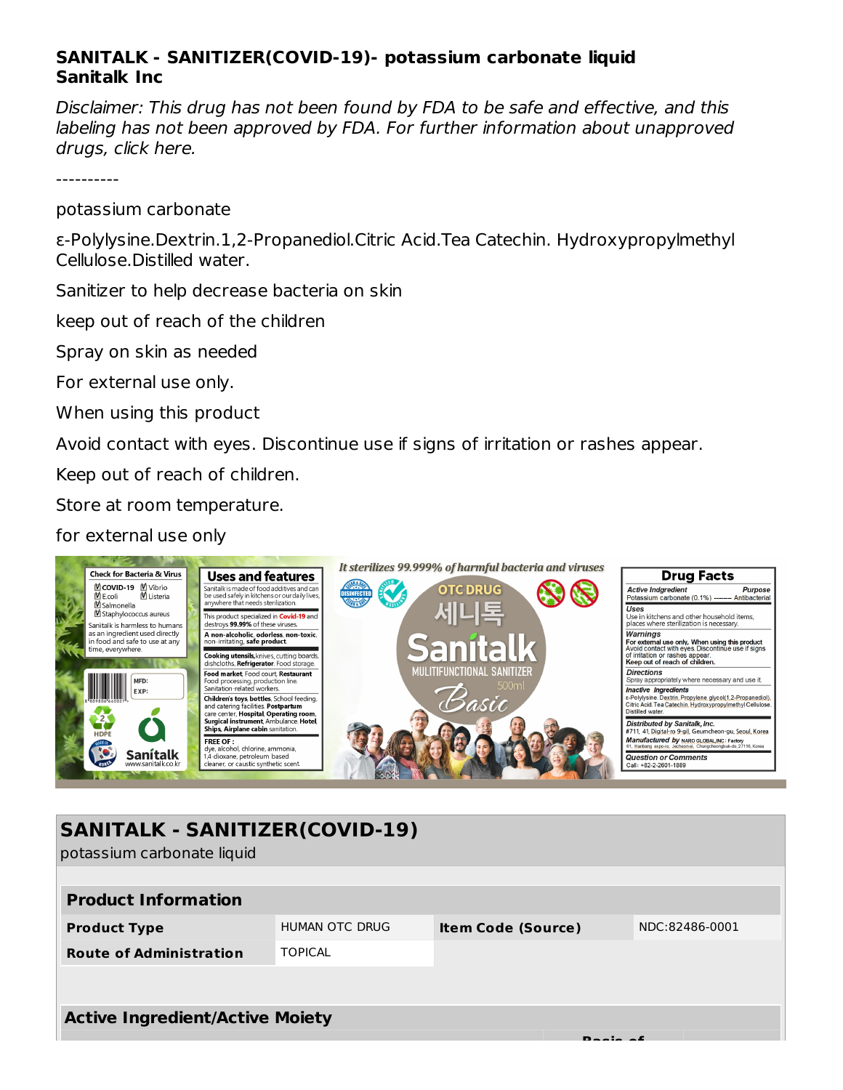## **SANITALK - SANITIZER(COVID-19)- potassium carbonate liquid Sanitalk Inc**

Disclaimer: This drug has not been found by FDA to be safe and effective, and this labeling has not been approved by FDA. For further information about unapproved drugs, click here.

----------

potassium carbonate

ε-Polylysine.Dextrin.1,2-Propanediol.Citric Acid.Tea Catechin. Hydroxypropylmethyl Cellulose.Distilled water.

Sanitizer to help decrease bacteria on skin

keep out of reach of the children

Spray on skin as needed

For external use only.

When using this product

Avoid contact with eyes. Discontinue use if signs of irritation or rashes appear.

Keep out of reach of children.

Store at room temperature.

for external use only



| <b>SANITALK - SANITIZER(COVID-19)</b><br>potassium carbonate liquid |                |                           |  |                |  |  |  |  |  |
|---------------------------------------------------------------------|----------------|---------------------------|--|----------------|--|--|--|--|--|
| <b>Product Information</b>                                          |                |                           |  |                |  |  |  |  |  |
| <b>Product Type</b>                                                 | HUMAN OTC DRUG | <b>Item Code (Source)</b> |  | NDC:82486-0001 |  |  |  |  |  |
| <b>Route of Administration</b>                                      | <b>TOPICAL</b> |                           |  |                |  |  |  |  |  |
|                                                                     |                |                           |  |                |  |  |  |  |  |
| <b>Active Ingredient/Active Moiety</b>                              |                |                           |  |                |  |  |  |  |  |
|                                                                     |                |                           |  |                |  |  |  |  |  |
|                                                                     |                |                           |  |                |  |  |  |  |  |